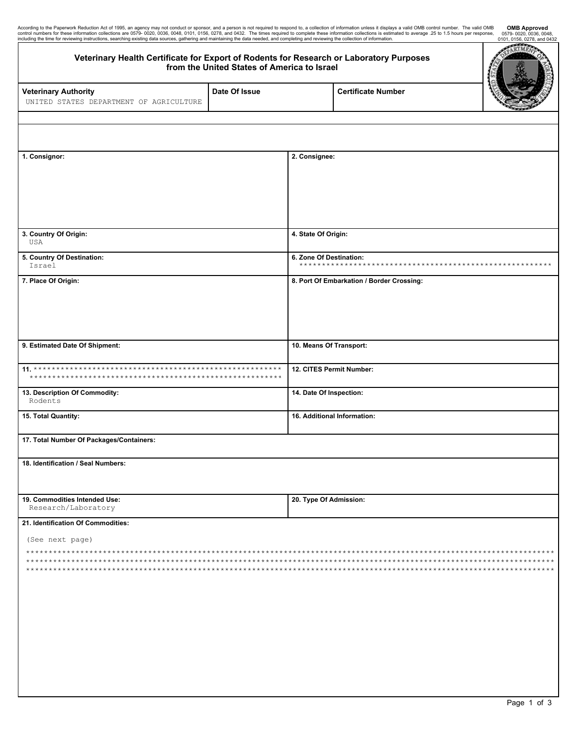| According to the Paperwork Reduction Act of 1995, an agency may not conduct or sponsor, and a person is not required to respond to, a collection of information unless it displays a valid OMB control number. The valid OMB<br>c<br>including the time for reviewing instructions, searching existing data sources, gathering and maintaining the data needed, and completing and reviewing the collection of information. |                                             |                             |                                           | <b>OMB Approved</b><br>0579-0020, 0036, 0048,<br>0101, 0156, 0278, and 0432 |  |  |  |
|-----------------------------------------------------------------------------------------------------------------------------------------------------------------------------------------------------------------------------------------------------------------------------------------------------------------------------------------------------------------------------------------------------------------------------|---------------------------------------------|-----------------------------|-------------------------------------------|-----------------------------------------------------------------------------|--|--|--|
| Veterinary Health Certificate for Export of Rodents for Research or Laboratory Purposes                                                                                                                                                                                                                                                                                                                                     | from the United States of America to Israel |                             |                                           | RTM.                                                                        |  |  |  |
| <b>Veterinary Authority</b><br>UNITED STATES DEPARTMENT OF AGRICULTURE                                                                                                                                                                                                                                                                                                                                                      | Date Of Issue                               |                             | <b>Certificate Number</b>                 |                                                                             |  |  |  |
|                                                                                                                                                                                                                                                                                                                                                                                                                             |                                             |                             |                                           |                                                                             |  |  |  |
| 1. Consignor:                                                                                                                                                                                                                                                                                                                                                                                                               |                                             | 2. Consignee:               |                                           |                                                                             |  |  |  |
|                                                                                                                                                                                                                                                                                                                                                                                                                             |                                             |                             |                                           |                                                                             |  |  |  |
| 3. Country Of Origin:<br>USA                                                                                                                                                                                                                                                                                                                                                                                                |                                             | 4. State Of Origin:         |                                           |                                                                             |  |  |  |
| 5. Country Of Destination:<br>Israel                                                                                                                                                                                                                                                                                                                                                                                        |                                             | 6. Zone Of Destination:     |                                           |                                                                             |  |  |  |
| 7. Place Of Origin:                                                                                                                                                                                                                                                                                                                                                                                                         |                                             |                             | 8. Port Of Embarkation / Border Crossing: |                                                                             |  |  |  |
| 9. Estimated Date Of Shipment:                                                                                                                                                                                                                                                                                                                                                                                              |                                             | 10. Means Of Transport:     |                                           |                                                                             |  |  |  |
| ****                                                                                                                                                                                                                                                                                                                                                                                                                        |                                             | 12. CITES Permit Number:    |                                           |                                                                             |  |  |  |
| 13. Description Of Commodity:<br>Rodents                                                                                                                                                                                                                                                                                                                                                                                    |                                             | 14. Date Of Inspection:     |                                           |                                                                             |  |  |  |
| 15. Total Quantity:                                                                                                                                                                                                                                                                                                                                                                                                         |                                             | 16. Additional Information: |                                           |                                                                             |  |  |  |
| 17. Total Number Of Packages/Containers:                                                                                                                                                                                                                                                                                                                                                                                    |                                             |                             |                                           |                                                                             |  |  |  |
| 18. Identification / Seal Numbers:                                                                                                                                                                                                                                                                                                                                                                                          |                                             |                             |                                           |                                                                             |  |  |  |
| 19. Commodities Intended Use:<br>Research/Laboratory                                                                                                                                                                                                                                                                                                                                                                        |                                             | 20. Type Of Admission:      |                                           |                                                                             |  |  |  |
| 21. Identification Of Commodities:                                                                                                                                                                                                                                                                                                                                                                                          |                                             |                             |                                           |                                                                             |  |  |  |
| (See next page)                                                                                                                                                                                                                                                                                                                                                                                                             |                                             |                             |                                           |                                                                             |  |  |  |
|                                                                                                                                                                                                                                                                                                                                                                                                                             |                                             |                             |                                           |                                                                             |  |  |  |
|                                                                                                                                                                                                                                                                                                                                                                                                                             |                                             |                             |                                           |                                                                             |  |  |  |
|                                                                                                                                                                                                                                                                                                                                                                                                                             |                                             |                             |                                           |                                                                             |  |  |  |
|                                                                                                                                                                                                                                                                                                                                                                                                                             |                                             |                             |                                           |                                                                             |  |  |  |
|                                                                                                                                                                                                                                                                                                                                                                                                                             |                                             |                             |                                           |                                                                             |  |  |  |
|                                                                                                                                                                                                                                                                                                                                                                                                                             |                                             |                             |                                           |                                                                             |  |  |  |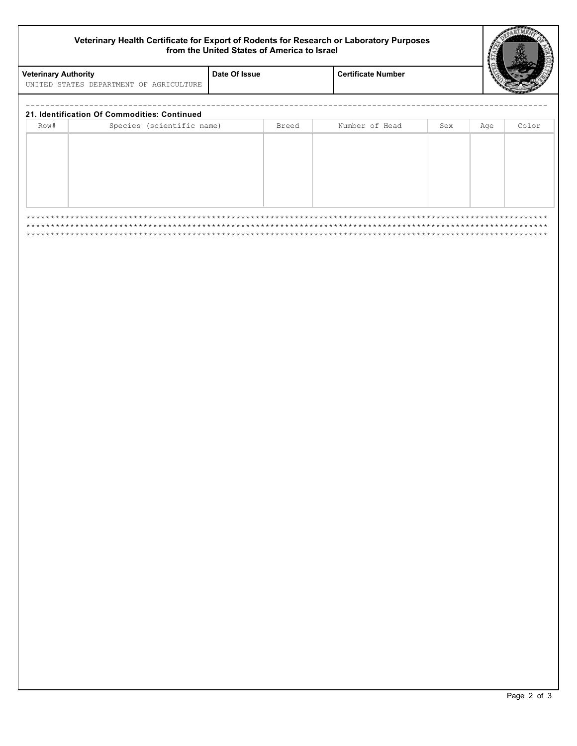## Veterinary Health Certificate for Export of Rodents for Research or Laboratory Purposes<br>from the United States of America to Israel

Date Of Issue

**Veterinary Authority** 

UNITED STATES DEPARTMENT OF AGRICULTURE

| Row# | Species (scientific name) | Breed | Number of Head | Sex | Age | Color |
|------|---------------------------|-------|----------------|-----|-----|-------|
|      |                           |       |                |     |     |       |
|      |                           |       |                |     |     |       |
|      |                           |       |                |     |     |       |
|      |                           |       |                |     |     |       |
|      |                           |       |                |     |     |       |
|      |                           |       |                |     |     |       |
|      |                           |       |                |     |     |       |

**Certificate Number**